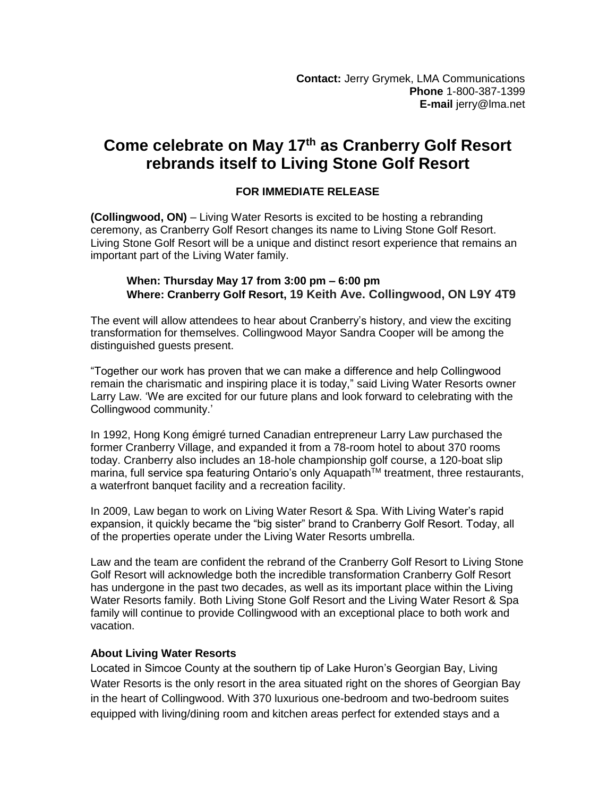## **Come celebrate on May 17th as Cranberry Golf Resort rebrands itself to Living Stone Golf Resort**

## **FOR IMMEDIATE RELEASE**

**(Collingwood, ON)** – Living Water Resorts is excited to be hosting a rebranding ceremony, as Cranberry Golf Resort changes its name to Living Stone Golf Resort. Living Stone Golf Resort will be a unique and distinct resort experience that remains an important part of the Living Water family.

## **When: Thursday May 17 from 3:00 pm – 6:00 pm Where: Cranberry Golf Resort, 19 Keith Ave. Collingwood, ON L9Y 4T9**

The event will allow attendees to hear about Cranberry's history, and view the exciting transformation for themselves. Collingwood Mayor Sandra Cooper will be among the distinguished guests present.

"Together our work has proven that we can make a difference and help Collingwood remain the charismatic and inspiring place it is today," said Living Water Resorts owner Larry Law. 'We are excited for our future plans and look forward to celebrating with the Collingwood community.'

In 1992, Hong Kong émigré turned Canadian entrepreneur Larry Law purchased the former Cranberry Village, and expanded it from a 78-room hotel to about 370 rooms today. Cranberry also includes an 18-hole championship golf course, a 120-boat slip marina, full service spa featuring Ontario's only Aquapath™ treatment, three restaurants, a waterfront banquet facility and a recreation facility.

In 2009, Law began to work on Living Water Resort & Spa. With Living Water's rapid expansion, it quickly became the "big sister" brand to Cranberry Golf Resort. Today, all of the properties operate under the Living Water Resorts umbrella.

Law and the team are confident the rebrand of the Cranberry Golf Resort to Living Stone Golf Resort will acknowledge both the incredible transformation Cranberry Golf Resort has undergone in the past two decades, as well as its important place within the Living Water Resorts family. Both Living Stone Golf Resort and the Living Water Resort & Spa family will continue to provide Collingwood with an exceptional place to both work and vacation.

## **About Living Water Resorts**

Located in Simcoe County at the southern tip of Lake Huron's Georgian Bay, Living Water Resorts is the only resort in the area situated right on the shores of Georgian Bay in the heart of Collingwood. With 370 luxurious one-bedroom and two-bedroom suites equipped with living/dining room and kitchen areas perfect for extended stays and a